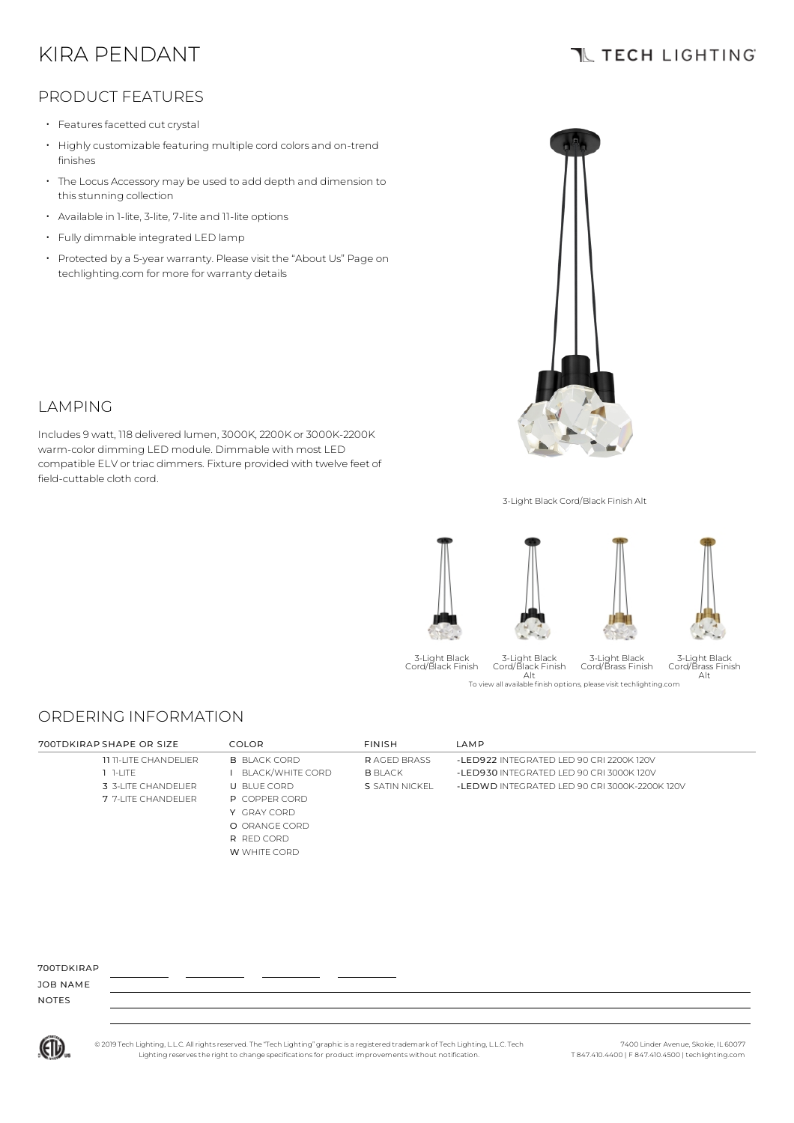# KIRA PENDANT

## **TL TECH LIGHTING**

## PRODUCT FEATURES

• Features facetted cut crystal

LAMPING

field-cuttable cloth cord.

- Highly customizable featuring multiple cord colors and on-trend finishes
- The Locus Accessory may be used to add depth and dimension to this stunning collection
- Available in 1-lite, 3-lite, 7-lite and 11-lite options
- Fully dimmable integrated LED lamp
- Protected by a 5-year warranty. Please visit the "About Us" Page on techlighting.com for more for warranty details

Includes 9 watt, 118 delivered lumen, 3000K, 2200K or 3000K-2200K warm-color dimming LED module. Dimmable with most LED compatible ELV or triac dimmers. Fixture provided with twelve feet of



3-Light Black Cord/Black Finish Alt



3-Light Black Cord/Black Finish

To view all available finish options, please visit techlighting.com Alt 3-Light Black Cord/Black Finish 3-Light Black Cord/Brass Finish

#### 3-Light Black Cord/Brass Finish Alt

ORDERING INFORMATION

| 700TDKIRAP SHAPE OR SIZE     | COLOR.               | <b>FINISH</b>      | <b>IAMP</b>                                   |
|------------------------------|----------------------|--------------------|-----------------------------------------------|
| <b>11 11-LITE CHANDELIER</b> | <b>B BLACK CORD</b>  | <b>RAGED BRASS</b> | -LED922 INTEGRATED LED 90 CRI 2200K 120V      |
| $1 - 1$                      | BLACK/WHITE CORD     | <b>B</b> BLACK     | -LED930 INTEGRATED LED 90 CRL3000K 120V       |
| 3 3-LITE CHANDELIER          | U BLUE CORD          | S SATIN NICKEL     | -LEDWD INTEGRATED LED 90 CRI 3000K-2200K 120V |
| 7 7-LITE CHANDELIER          | <b>P</b> COPPER CORD |                    |                                               |
|                              | Y GRAY CORD          |                    |                                               |
|                              | O ORANGE CORD        |                    |                                               |
|                              | R RED CORD           |                    |                                               |
|                              | W WHITE CORD         |                    |                                               |

#### 700TDKIRAP

JOB NAME NOTES



© 2019 Tech Lighting, L.L.C. All rightsreserved. The "Tech Lighting" graphicis a registered trademark of Tech Lighting, L.L.C. Tech Lighting reservesthe right to change specificationsfor product improvements without notification.